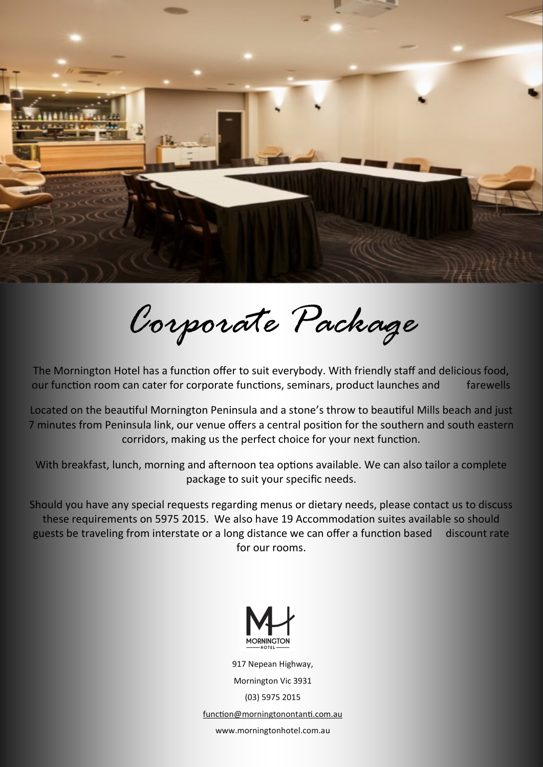

*Corporate Package* 

The Mornington Hotel has a function offer to suit everybody. With friendly staff and delicious food, our function room can cater for corporate functions, seminars, product launches and farewells

Located on the beautiful Mornington Peninsula and a stone's throw to beautiful Mills beach and just 7 minutes from Peninsula link, our venue offers a central position for the southern and south eastern corridors, making us the perfect choice for your next function.

With breakfast, lunch, morning and afternoon tea options available. We can also tailor a complete package to suit your specific needs.

Should you have any special requests regarding menus or dietary needs, please contact us to discuss these requirements on 5975 2015. We also have 19 Accommodation suites available so should guests be traveling from interstate or a long distance we can offer a function based discount rate for our rooms.



917 Nepean Highway, Mornington Vic 3931 (03) 5975 2015 functio[n@morningtonontanti.com.au](mailto:info@morningtonontanti.com.au) www.morningtonhotel.com.au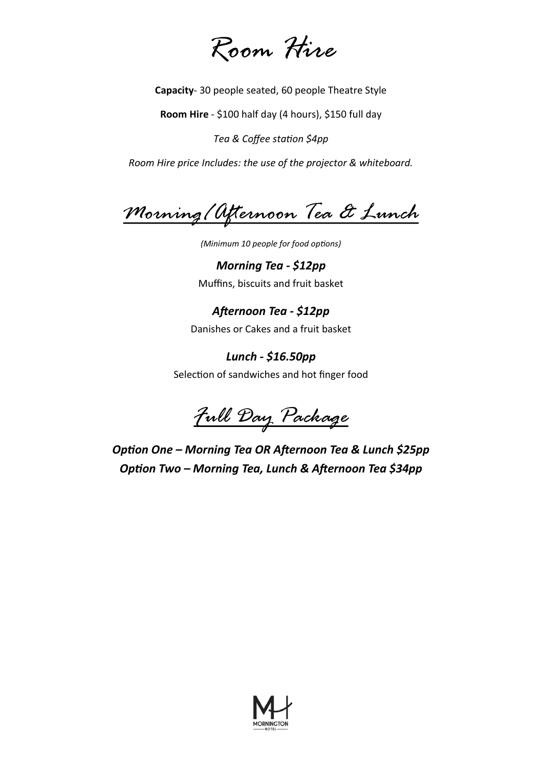

**Capacity**- 30 people seated, 60 people Theatre Style

**Room Hire** - \$100 half day (4 hours), \$150 full day

*Tea & Coffee station \$4pp*

*Room Hire price Includes: the use of the projector & whiteboard.*

*Morning/Afternoon Tea & Lunch*

*(Minimum 10 people for food options)*

*Morning Tea - \$12pp* Muffins, biscuits and fruit basket

*Afternoon Tea - \$12pp* Danishes or Cakes and a fruit basket

*Lunch - \$16.50pp* Selection of sandwiches and hot finger food

*Full Day Package*

*Option One – Morning Tea OR Afternoon Tea & Lunch \$25pp Option Two – Morning Tea, Lunch & Afternoon Tea \$34pp*

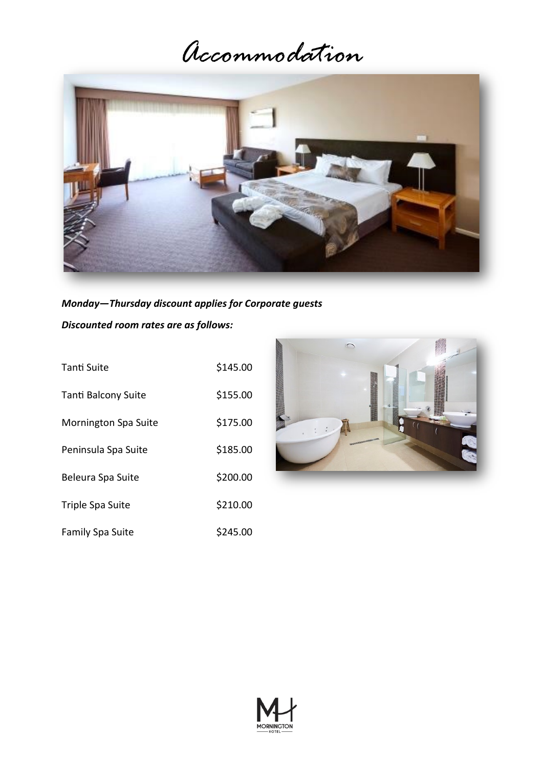*Accommodation*



*Monday—Thursday discount applies for Corporate guests Discounted room rates are as follows:*

| Tanti Suite                 | \$145.00 |
|-----------------------------|----------|
| <b>Tanti Balcony Suite</b>  | \$155.00 |
| <b>Mornington Spa Suite</b> | \$175.00 |
| Peninsula Spa Suite         | \$185.00 |
| Beleura Spa Suite           | \$200.00 |
| Triple Spa Suite            | \$210.00 |
| Family Spa Suite            | \$245.00 |